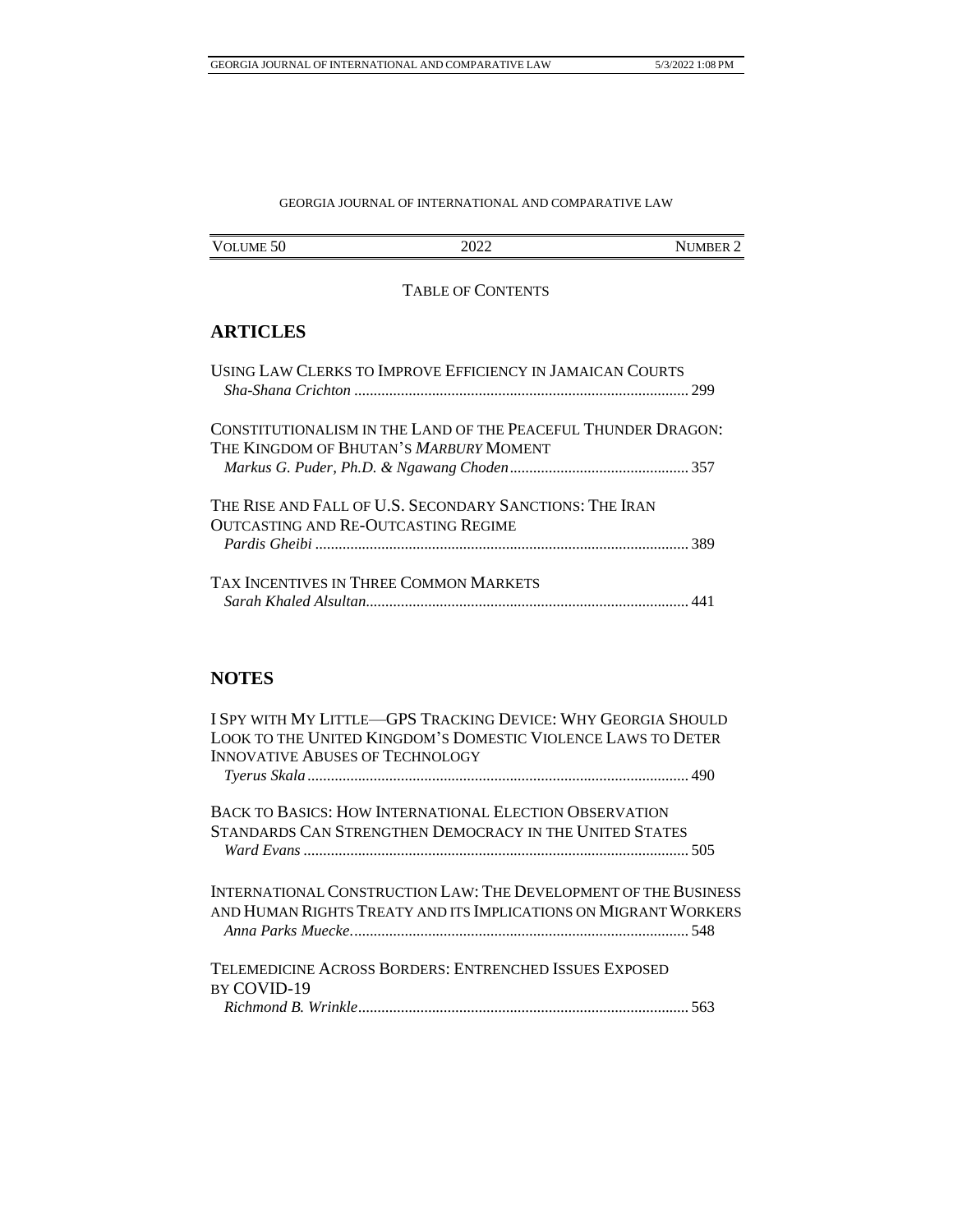## GEORGIA JOURNAL OF INTERNATIONAL AND COMPARATIVE LAW

| <b>VOLUME</b> | ^^^^ | <b>IMBER</b> |
|---------------|------|--------------|
| 50            | WAA  | NI           |

## TABLE OF CONTENTS

## **ARTICLES**

| USING LAW CLERKS TO IMPROVE EFFICIENCY IN JAMAICAN COURTS                                                      |  |
|----------------------------------------------------------------------------------------------------------------|--|
| CONSTITUTIONALISM IN THE LAND OF THE PEACEFUL THUNDER DRAGON:<br>THE KINGDOM OF BHUTAN'S <i>Marbury</i> MOMENT |  |
|                                                                                                                |  |
| THE RISE AND FALL OF U.S. SECONDARY SANCTIONS: THE IRAN<br>OUTCASTING AND RE-OUTCASTING REGIME                 |  |
|                                                                                                                |  |
| TAX INCENTIVES IN THREE COMMON MARKETS                                                                         |  |
|                                                                                                                |  |

# **NOTES**

| I SPY WITH MY LITTLE—GPS TRACKING DEVICE: WHY GEORGIA SHOULD<br>LOOK TO THE UNITED KINGDOM'S DOMESTIC VIOLENCE LAWS TO DETER |  |
|------------------------------------------------------------------------------------------------------------------------------|--|
| <b>INNOVATIVE ABUSES OF TECHNOLOGY</b>                                                                                       |  |
|                                                                                                                              |  |
| BACK TO BASICS: HOW INTERNATIONAL ELECTION OBSERVATION                                                                       |  |
| STANDARDS CAN STRENGTHEN DEMOCRACY IN THE UNITED STATES                                                                      |  |
| INTERNATIONAL CONSTRUCTION LAW: THE DEVELOPMENT OF THE BUSINESS                                                              |  |
| and Human Rights Treaty and its Implications on Migrant Workers                                                              |  |
| TELEMEDICINE ACROSS BORDERS: ENTRENCHED ISSUES EXPOSED                                                                       |  |
| BY COVID-19                                                                                                                  |  |
|                                                                                                                              |  |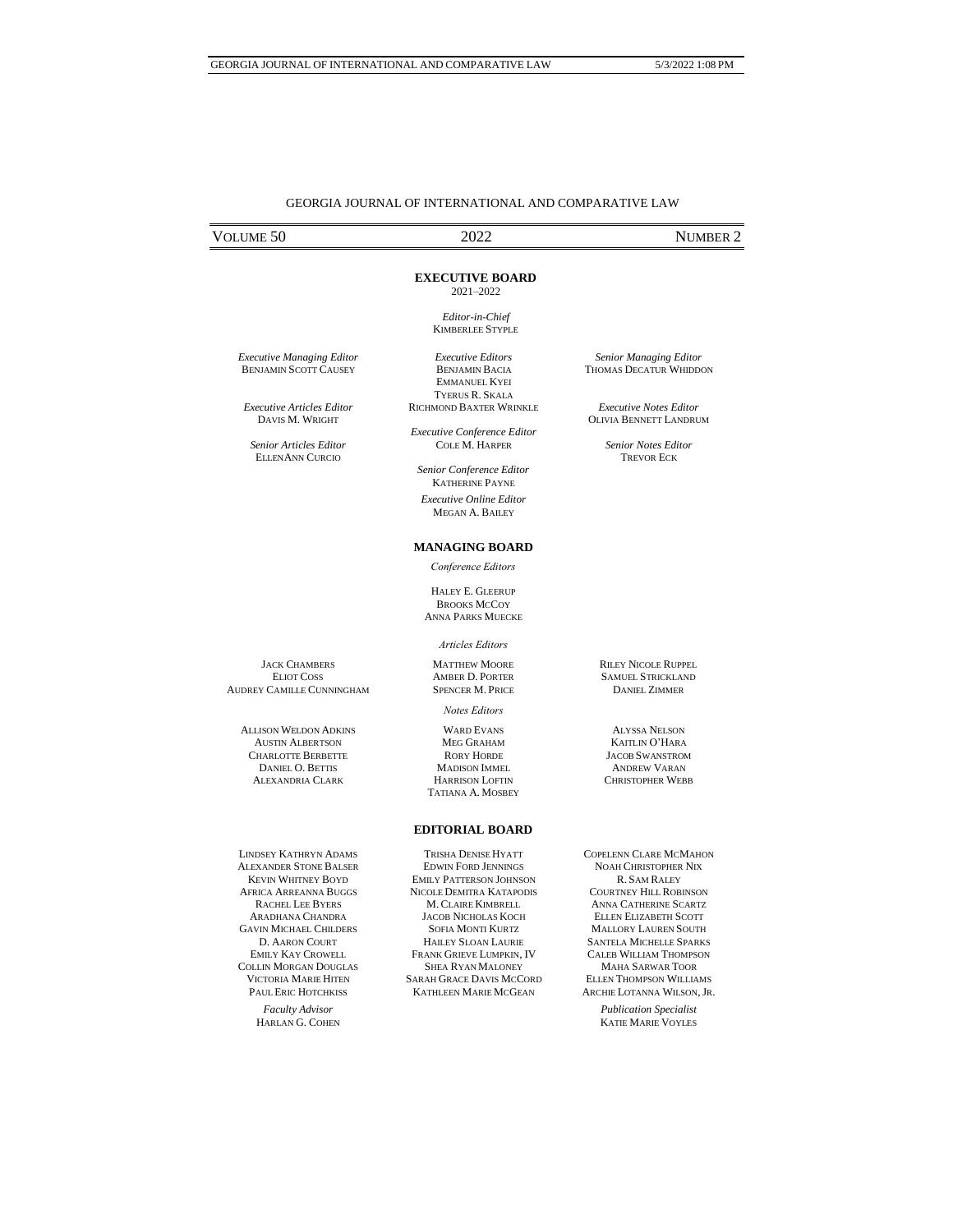### GEORGIA JOURNAL OF INTERNATIONAL AND COMPARATIVE LAW

# VOLUME 50 2022 NUMBER 2

#### **EXECUTIVE BOARD**

2021–2022

*Editor-in-Chief* KIMBERLEE STYPLE

*Executive Editors* BENJAMIN BACIA EMMANUEL KYEI

*Executive Managing Editor* BENJAMIN SCOTT CAUSEY

*Executive Articles Editor* DAVIS M. WRIGHT

*Senior Articles Editor* ELLENANN CURCIO

TYERUS R. SKALA RICHMOND BAXTER WRINKLE *Executive Conference Editor*

COLE M. HARPER

*Senior Conference Editor* KATHERINE PAYNE *Executive Online Editor* MEGAN A. BAILEY

#### **MANAGING BOARD**

*Conference Editors*

HALEY E. GLEERUP **BROOKS MCCOY** ANNA PARKS MUECKE

#### *Articles Editors*

MATTHEW MOORE AMBER D. PORTER SPENCER M. PRICE

*Notes Editors*

WARD EVANS MEG GRAHAM RORY HORDE MADISON IMMEL HARRISON LOFTIN TATIANA A. MOSBEY RILEY NICOLE RUPPEL SAMUEL STRICKLAND DANIEL ZIMMER

ALYSSA NELSON KAITLIN O'HARA JACOB SWANSTROM ANDREW VARAN CHRISTOPHER WEBB

LINDSEY KATHRYN ADAMS ALEXANDER STONE BALSER KEVIN WHITNEY BOYD AFRICA ARREANNA BUGGS RACHEL LEE BYERS ARADHANA CHANDRA GAVIN MICHAEL CHILDERS D. AARON COURT EMILY KAY CROWELL COLLIN MORGAN DOUGLAS VICTORIA MARIE HITEN PAUL ERIC HOTCHKISS

> *Faculty Advisor*  HARLAN G. COHEN

### **EDITORIAL BOARD**

TRISHA DENISE HYATT EDWIN FORD JENNINGS EMILY PATTERSON JOHNSON NICOLE DEMITRA KATAPODIS M. CLAIRE KIMBRELL JACOB NICHOLAS KOCH SOFIA MONTI KURTZ HAILEY SLOAN LAURIE FRANK GRIEVE LUMPKIN, IV SHEA RYAN MALONEY SARAH GRACE DAVIS MCCORD KATHLEEN MARIE MCGEAN

COPELENN CLARE MCMAHON NOAH CHRISTOPHER NIX R. SAM RALEY COURTNEY HILL ROBINSON ANNA CATHERINE SCARTZ ELLEN ELIZABETH SCOTT MALLORY LAUREN SOUTH SANTELA MICHELLE SPARKS CALEB WILLIAM THOMPSON MAHA SARWAR TOOR ELLEN THOMPSON WILLIAMS ARCHIE LOTANNA WILSON,JR.

*Publication Specialist*  KATIE MARIE VOYLES

*Senior Managing Editor* THOMAS DECATUR WHIDDON

*Executive Notes Editor* OLIVIA BENNETT LANDRUM

*Senior Notes Editor* TREVOR ECK

JACK CHAMBERS ELIOT COSS AUDREY CAMILLE CUNNINGHAM

> ALLISON WELDON ADKINS AUSTIN ALBERTSON CHARLOTTE BERBETTE DANIEL O. BETTIS ALEXANDRIA CLARK